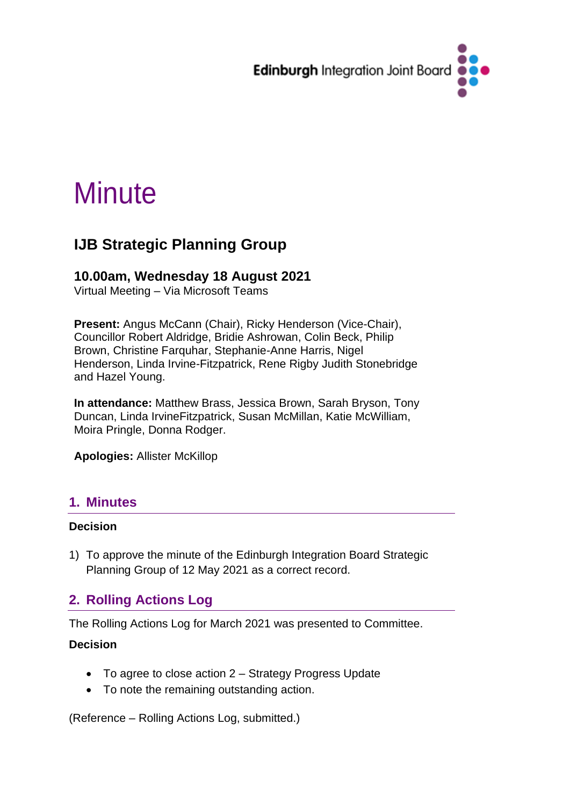

# **Minute**

## **IJB Strategic Planning Group**

## **10.00am, Wednesday 18 August 2021**

Virtual Meeting – Via Microsoft Teams

**Present:** Angus McCann (Chair), Ricky Henderson (Vice-Chair), Councillor Robert Aldridge, Bridie Ashrowan, Colin Beck, Philip Brown, Christine Farquhar, Stephanie-Anne Harris, Nigel Henderson, Linda Irvine-Fitzpatrick, Rene Rigby Judith Stonebridge and Hazel Young.

**In attendance:** Matthew Brass, Jessica Brown, Sarah Bryson, Tony Duncan, Linda IrvineFitzpatrick, Susan McMillan, Katie McWilliam, Moira Pringle, Donna Rodger.

**Apologies:** Allister McKillop

## **1. Minutes**

#### **Decision**

1) To approve the minute of the Edinburgh Integration Board Strategic Planning Group of 12 May 2021 as a correct record.

## **2. Rolling Actions Log**

The Rolling Actions Log for March 2021 was presented to Committee.

#### **Decision**

- To agree to close action 2 Strategy Progress Update
- To note the remaining outstanding action.

(Reference – Rolling Actions Log, submitted.)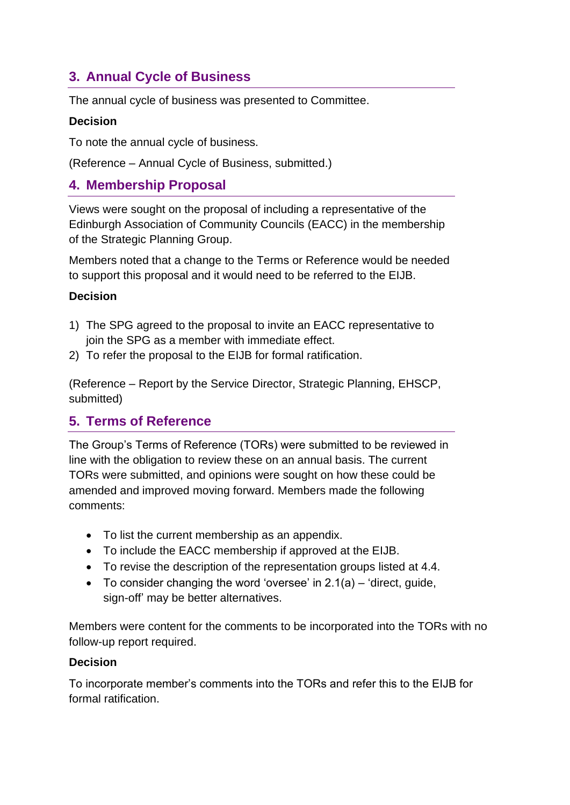## **3. Annual Cycle of Business**

The annual cycle of business was presented to Committee.

#### **Decision**

To note the annual cycle of business.

(Reference – Annual Cycle of Business, submitted.)

## **4. Membership Proposal**

Views were sought on the proposal of including a representative of the Edinburgh Association of Community Councils (EACC) in the membership of the Strategic Planning Group.

Members noted that a change to the Terms or Reference would be needed to support this proposal and it would need to be referred to the EIJB.

#### **Decision**

- 1) The SPG agreed to the proposal to invite an EACC representative to join the SPG as a member with immediate effect.
- 2) To refer the proposal to the EIJB for formal ratification.

(Reference – Report by the Service Director, Strategic Planning, EHSCP, submitted)

## **5. Terms of Reference**

The Group's Terms of Reference (TORs) were submitted to be reviewed in line with the obligation to review these on an annual basis. The current TORs were submitted, and opinions were sought on how these could be amended and improved moving forward. Members made the following comments:

- To list the current membership as an appendix.
- To include the EACC membership if approved at the EIJB.
- To revise the description of the representation groups listed at 4.4.
- To consider changing the word 'oversee' in  $2.1(a)$  'direct, guide, sign-off' may be better alternatives.

Members were content for the comments to be incorporated into the TORs with no follow-up report required.

#### **Decision**

To incorporate member's comments into the TORs and refer this to the EIJB for formal ratification.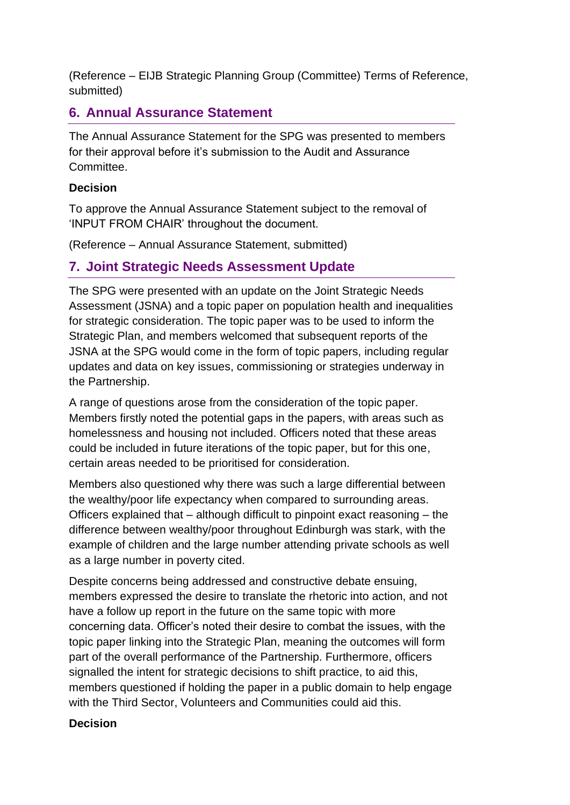(Reference – EIJB Strategic Planning Group (Committee) Terms of Reference, submitted)

## **6. Annual Assurance Statement**

The Annual Assurance Statement for the SPG was presented to members for their approval before it's submission to the Audit and Assurance Committee.

#### **Decision**

To approve the Annual Assurance Statement subject to the removal of 'INPUT FROM CHAIR' throughout the document.

(Reference – Annual Assurance Statement, submitted)

## **7. Joint Strategic Needs Assessment Update**

The SPG were presented with an update on the Joint Strategic Needs Assessment (JSNA) and a topic paper on population health and inequalities for strategic consideration. The topic paper was to be used to inform the Strategic Plan, and members welcomed that subsequent reports of the JSNA at the SPG would come in the form of topic papers, including regular updates and data on key issues, commissioning or strategies underway in the Partnership.

A range of questions arose from the consideration of the topic paper. Members firstly noted the potential gaps in the papers, with areas such as homelessness and housing not included. Officers noted that these areas could be included in future iterations of the topic paper, but for this one, certain areas needed to be prioritised for consideration.

Members also questioned why there was such a large differential between the wealthy/poor life expectancy when compared to surrounding areas. Officers explained that – although difficult to pinpoint exact reasoning – the difference between wealthy/poor throughout Edinburgh was stark, with the example of children and the large number attending private schools as well as a large number in poverty cited.

Despite concerns being addressed and constructive debate ensuing, members expressed the desire to translate the rhetoric into action, and not have a follow up report in the future on the same topic with more concerning data. Officer's noted their desire to combat the issues, with the topic paper linking into the Strategic Plan, meaning the outcomes will form part of the overall performance of the Partnership. Furthermore, officers signalled the intent for strategic decisions to shift practice, to aid this, members questioned if holding the paper in a public domain to help engage with the Third Sector, Volunteers and Communities could aid this.

#### **Decision**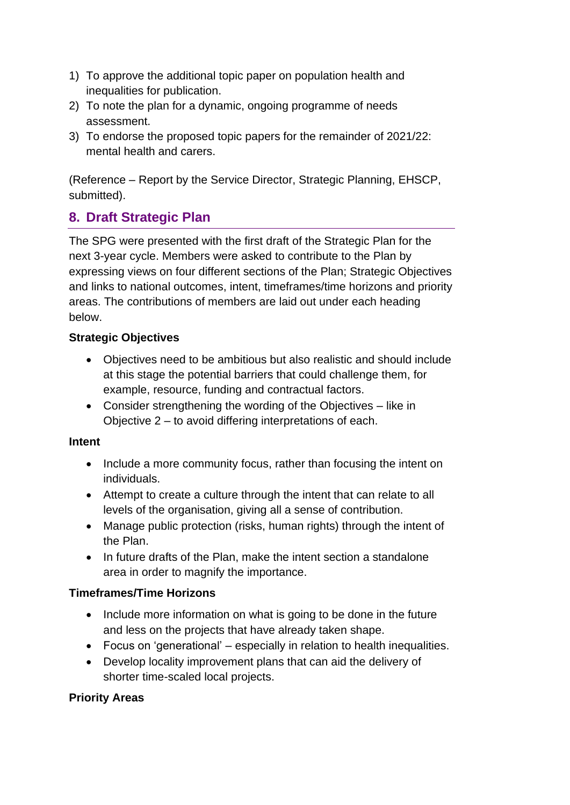- 1) To approve the additional topic paper on population health and inequalities for publication.
- 2) To note the plan for a dynamic, ongoing programme of needs assessment.
- 3) To endorse the proposed topic papers for the remainder of 2021/22: mental health and carers.

(Reference – Report by the Service Director, Strategic Planning, EHSCP, submitted).

## **8. Draft Strategic Plan**

The SPG were presented with the first draft of the Strategic Plan for the next 3-year cycle. Members were asked to contribute to the Plan by expressing views on four different sections of the Plan; Strategic Objectives and links to national outcomes, intent, timeframes/time horizons and priority areas. The contributions of members are laid out under each heading below.

#### **Strategic Objectives**

- Objectives need to be ambitious but also realistic and should include at this stage the potential barriers that could challenge them, for example, resource, funding and contractual factors.
- Consider strengthening the wording of the Objectives like in Objective 2 – to avoid differing interpretations of each.

## **Intent**

- Include a more community focus, rather than focusing the intent on individuals.
- Attempt to create a culture through the intent that can relate to all levels of the organisation, giving all a sense of contribution.
- Manage public protection (risks, human rights) through the intent of the Plan.
- In future drafts of the Plan, make the intent section a standalone area in order to magnify the importance.

## **Timeframes/Time Horizons**

- Include more information on what is going to be done in the future and less on the projects that have already taken shape.
- Focus on 'generational' especially in relation to health inequalities.
- Develop locality improvement plans that can aid the delivery of shorter time-scaled local projects.

## **Priority Areas**